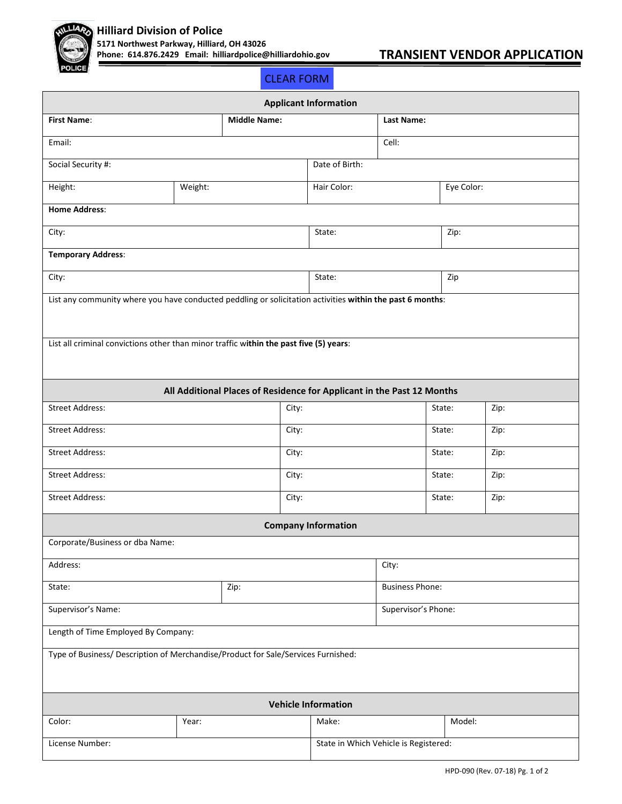

## **TRANSIENT VENDOR APPLICATION**

## CLEAR FORM

|                                                                                                                                                                                                     |        |                                       | <b>Applicant Information</b> |                        |      |        |            |  |  |
|-----------------------------------------------------------------------------------------------------------------------------------------------------------------------------------------------------|--------|---------------------------------------|------------------------------|------------------------|------|--------|------------|--|--|
| <b>Middle Name:</b><br><b>First Name:</b>                                                                                                                                                           |        |                                       | Last Name:                   |                        |      |        |            |  |  |
| Email:                                                                                                                                                                                              |        |                                       |                              | Cell:                  |      |        |            |  |  |
| Social Security #:                                                                                                                                                                                  |        | Date of Birth:                        |                              |                        |      |        |            |  |  |
| Height:<br>Weight:                                                                                                                                                                                  |        |                                       | Hair Color:                  |                        |      |        | Eye Color: |  |  |
| <b>Home Address:</b>                                                                                                                                                                                |        |                                       |                              |                        |      |        |            |  |  |
| City:                                                                                                                                                                                               | State: |                                       |                              |                        | Zip: |        |            |  |  |
| <b>Temporary Address:</b>                                                                                                                                                                           |        |                                       |                              |                        |      |        |            |  |  |
| City:                                                                                                                                                                                               |        | State:                                |                              |                        |      | Zip    |            |  |  |
| List any community where you have conducted peddling or solicitation activities within the past 6 months:<br>List all criminal convictions other than minor traffic within the past five (5) years: |        |                                       |                              |                        |      |        |            |  |  |
|                                                                                                                                                                                                     |        |                                       |                              |                        |      |        |            |  |  |
| All Additional Places of Residence for Applicant in the Past 12 Months<br><b>Street Address:</b>                                                                                                    |        |                                       | City:                        |                        |      | State: | Zip:       |  |  |
| <b>Street Address:</b>                                                                                                                                                                              |        |                                       | City:                        |                        |      | State: | Zip:       |  |  |
| <b>Street Address:</b>                                                                                                                                                                              |        |                                       | City:                        |                        |      | State: | Zip:       |  |  |
| <b>Street Address:</b>                                                                                                                                                                              |        |                                       | City:                        |                        |      | State: | Zip:       |  |  |
| <b>Street Address:</b>                                                                                                                                                                              |        |                                       | City:                        |                        |      | State: | Zip:       |  |  |
|                                                                                                                                                                                                     |        |                                       | <b>Company Information</b>   |                        |      |        |            |  |  |
| Corporate/Business or dba Name:                                                                                                                                                                     |        |                                       |                              |                        |      |        |            |  |  |
| Address:                                                                                                                                                                                            |        | City:                                 |                              |                        |      |        |            |  |  |
| Zip:<br>State:                                                                                                                                                                                      |        |                                       |                              | <b>Business Phone:</b> |      |        |            |  |  |
| Supervisor's Name:                                                                                                                                                                                  |        | Supervisor's Phone:                   |                              |                        |      |        |            |  |  |
| Length of Time Employed By Company:                                                                                                                                                                 |        |                                       |                              |                        |      |        |            |  |  |
| Type of Business/ Description of Merchandise/Product for Sale/Services Furnished:                                                                                                                   |        |                                       |                              |                        |      |        |            |  |  |
| <b>Vehicle Information</b>                                                                                                                                                                          |        |                                       |                              |                        |      |        |            |  |  |
| Color:                                                                                                                                                                                              | Year:  |                                       | Make:                        | Model:                 |      |        |            |  |  |
| License Number:                                                                                                                                                                                     |        | State in Which Vehicle is Registered: |                              |                        |      |        |            |  |  |